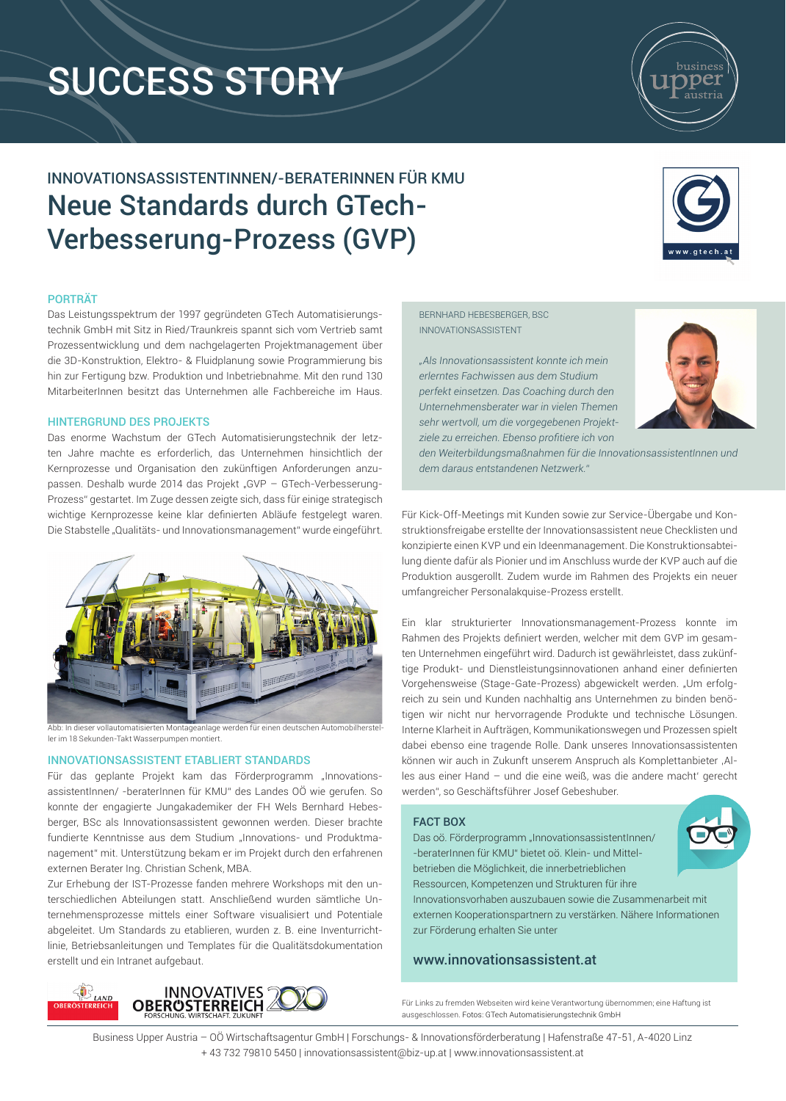# SUCCESS STORY

busines

## INNOVATIONSASSISTENTINNEN/-BERATERINNEN FÜR KMU Neue Standards durch GTech-Verbesserung-Prozess (GVP)

### PORTRÄT

Das Leistungsspektrum der 1997 gegründeten GTech Automatisierungstechnik GmbH mit Sitz in Ried/Traunkreis spannt sich vom Vertrieb samt Prozessentwicklung und dem nachgelagerten Projektmanagement über die 3D-Konstruktion, Elektro- & Fluidplanung sowie Programmierung bis hin zur Fertigung bzw. Produktion und Inbetriebnahme. Mit den rund 130 MitarbeiterInnen besitzt das Unternehmen alle Fachbereiche im Haus.

### HINTERGRUND DES PROJEKTS

Das enorme Wachstum der GTech Automatisierungstechnik der letzten Jahre machte es erforderlich, das Unternehmen hinsichtlich der Kernprozesse und Organisation den zukünftigen Anforderungen anzupassen. Deshalb wurde 2014 das Projekt "GVP - GTech-Verbesserung-Prozess" gestartet. Im Zuge dessen zeigte sich, dass für einige strategisch wichtige Kernprozesse keine klar definierten Abläufe festgelegt waren. Die Stabstelle "Qualitäts- und Innovationsmanagement" wurde eingeführt.



bb: In dieser vollautomatisierten Montageanlage werden für einen deutschen Automobil ler im 18 Sekunden-Takt Wasserpumpen montiert.

### INNOVATIONSASSISTENT ETABLIERT STANDARDS

Für das geplante Projekt kam das Förderprogramm "InnovationsassistentInnen/ -beraterInnen für KMU" des Landes OÖ wie gerufen. So konnte der engagierte Jungakademiker der FH Wels Bernhard Hebesberger, BSc als Innovationsassistent gewonnen werden. Dieser brachte fundierte Kenntnisse aus dem Studium "Innovations- und Produktmanagement" mit. Unterstützung bekam er im Projekt durch den erfahrenen externen Berater Ing. Christian Schenk, MBA.

Zur Erhebung der IST-Prozesse fanden mehrere Workshops mit den unterschiedlichen Abteilungen statt. Anschließend wurden sämtliche Unternehmensprozesse mittels einer Software visualisiert und Potentiale abgeleitet. Um Standards zu etablieren, wurden z. B. eine Inventurrichtlinie, Betriebsanleitungen und Templates für die Qualitätsdokumentation erstellt und ein Intranet aufgebaut.



BERNHARD HEBESBERGER, BSC INNOVATIONSASSISTENT

*"Als Innovationsassistent konnte ich mein erlerntes Fachwissen aus dem Studium perfekt einsetzen. Das Coaching durch den Unternehmensberater war in vielen Themen sehr wertvoll, um die vorgegebenen Projektziele zu erreichen. Ebenso profitiere ich von* 



*den Weiterbildungsmaßnahmen für die InnovationsassistentInnen und dem daraus entstandenen Netzwerk."* 

Für Kick-Off-Meetings mit Kunden sowie zur Service-Übergabe und Konstruktionsfreigabe erstellte der Innovationsassistent neue Checklisten und konzipierte einen KVP und ein Ideenmanagement. Die Konstruktionsabteilung diente dafür als Pionier und im Anschluss wurde der KVP auch auf die Produktion ausgerollt. Zudem wurde im Rahmen des Projekts ein neuer umfangreicher Personalakquise-Prozess erstellt.

Ein klar strukturierter Innovationsmanagement-Prozess konnte im Rahmen des Projekts definiert werden, welcher mit dem GVP im gesamten Unternehmen eingeführt wird. Dadurch ist gewährleistet, dass zukünftige Produkt- und Dienstleistungsinnovationen anhand einer definierten Vorgehensweise (Stage-Gate-Prozess) abgewickelt werden. "Um erfolgreich zu sein und Kunden nachhaltig ans Unternehmen zu binden benötigen wir nicht nur hervorragende Produkte und technische Lösungen. Interne Klarheit in Aufträgen, Kommunikationswegen und Prozessen spielt dabei ebenso eine tragende Rolle. Dank unseres Innovationsassistenten können wir auch in Zukunft unserem Anspruch als Komplettanbieter ,Alles aus einer Hand – und die eine weiß, was die andere macht' gerecht werden", so Geschäftsführer Josef Gebeshuber.

### FACT BOX

Das oö. Förderprogramm "InnovationsassistentInnen/ -beraterInnen für KMU" bietet oö. Klein- und Mittelbetrieben die Möglichkeit, die innerbetrieblichen Ressourcen, Kompetenzen und Strukturen für ihre Innovationsvorhaben auszubauen sowie die Zusammenarbeit mit externen Kooperationspartnern zu verstärken. Nähere Informationen zur Förderung erhalten Sie unter

### www.innovationsassistent.at

Für Links zu fremden Webseiten wird keine Verantwortung übernommen; eine Haftung ist ausgeschlossen. Fotos: GTech Automatisierungstechnik GmbH

Business Upper Austria – OÖ Wirtschaftsagentur GmbH | Forschungs- & Innovationsförderberatung | Hafenstraße 47-51, A-4020 Linz + 43 732 79810 5450 | innovationsassistent@biz-up.at | www.innovationsassistent.at